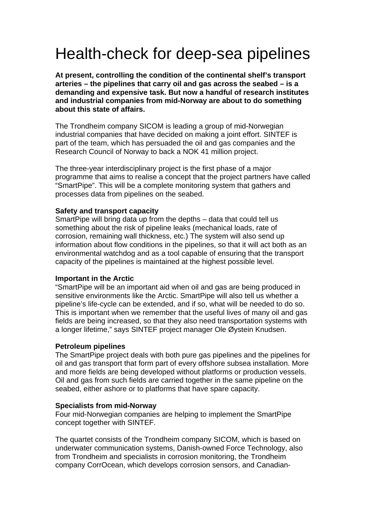# Health-check for deep-sea pipelines

**At present, controlling the condition of the continental shelf's transport arteries – the pipelines that carry oil and gas across the seabed – is a demanding and expensive task. But now a handful of research institutes and industrial companies from mid-Norway are about to do something about this state of affairs.** 

The Trondheim company SICOM is leading a group of mid-Norwegian industrial companies that have decided on making a joint effort. SINTEF is part of the team, which has persuaded the oil and gas companies and the Research Council of Norway to back a NOK 41 million project.

The three-year interdisciplinary project is the first phase of a major programme that aims to realise a concept that the project partners have called "SmartPipe". This will be a complete monitoring system that gathers and processes data from pipelines on the seabed.

## **Safety and transport capacity**

SmartPipe will bring data up from the depths – data that could tell us something about the risk of pipeline leaks (mechanical loads, rate of corrosion, remaining wall thickness, etc.) The system will also send up information about flow conditions in the pipelines, so that it will act both as an environmental watchdog and as a tool capable of ensuring that the transport capacity of the pipelines is maintained at the highest possible level.

# **Important in the Arctic**

"SmartPipe will be an important aid when oil and gas are being produced in sensitive environments like the Arctic. SmartPipe will also tell us whether a pipeline's life-cycle can be extended, and if so, what will be needed to do so. This is important when we remember that the useful lives of many oil and gas fields are being increased, so that they also need transportation systems with a longer lifetime," says SINTEF project manager Ole Øystein Knudsen.

#### **Petroleum pipelines**

The SmartPipe project deals with both pure gas pipelines and the pipelines for oil and gas transport that form part of every offshore subsea installation. More and more fields are being developed without platforms or production vessels. Oil and gas from such fields are carried together in the same pipeline on the seabed, either ashore or to platforms that have spare capacity.

# **Specialists from mid-Norway**

Four mid-Norwegian companies are helping to implement the SmartPipe concept together with SINTEF.

The quartet consists of the Trondheim company SICOM, which is based on underwater communication systems, Danish-owned Force Technology, also from Trondheim and specialists in corrosion monitoring, the Trondheim company CorrOcean, which develops corrosion sensors, and Canadian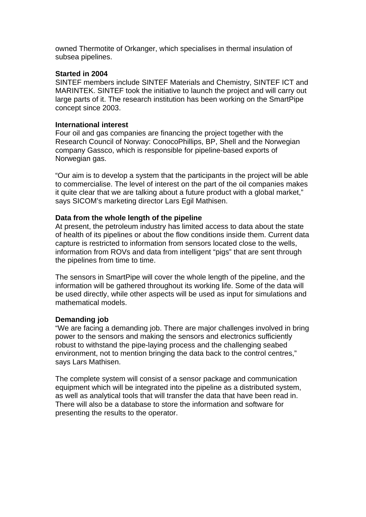owned Thermotite of Orkanger, which specialises in thermal insulation of subsea pipelines.

# **Started in 2004**

SINTEF members include SINTEF Materials and Chemistry, SINTEF ICT and MARINTEK. SINTEF took the initiative to launch the project and will carry out large parts of it. The research institution has been working on the SmartPipe concept since 2003.

## **International interest**

Four oil and gas companies are financing the project together with the Research Council of Norway: ConocoPhillips, BP, Shell and the Norwegian company Gassco, which is responsible for pipeline-based exports of Norwegian gas.

"Our aim is to develop a system that the participants in the project will be able to commercialise. The level of interest on the part of the oil companies makes it quite clear that we are talking about a future product with a global market," says SICOM's marketing director Lars Egil Mathisen.

## **Data from the whole length of the pipeline**

At present, the petroleum industry has limited access to data about the state of health of its pipelines or about the flow conditions inside them. Current data capture is restricted to information from sensors located close to the wells, information from ROVs and data from intelligent "pigs" that are sent through the pipelines from time to time.

The sensors in SmartPipe will cover the whole length of the pipeline, and the information will be gathered throughout its working life. Some of the data will be used directly, while other aspects will be used as input for simulations and mathematical models.

#### **Demanding job**

"We are facing a demanding job. There are major challenges involved in bring power to the sensors and making the sensors and electronics sufficiently robust to withstand the pipe-laying process and the challenging seabed environment, not to mention bringing the data back to the control centres," says Lars Mathisen.

The complete system will consist of a sensor package and communication equipment which will be integrated into the pipeline as a distributed system, as well as analytical tools that will transfer the data that have been read in. There will also be a database to store the information and software for presenting the results to the operator.